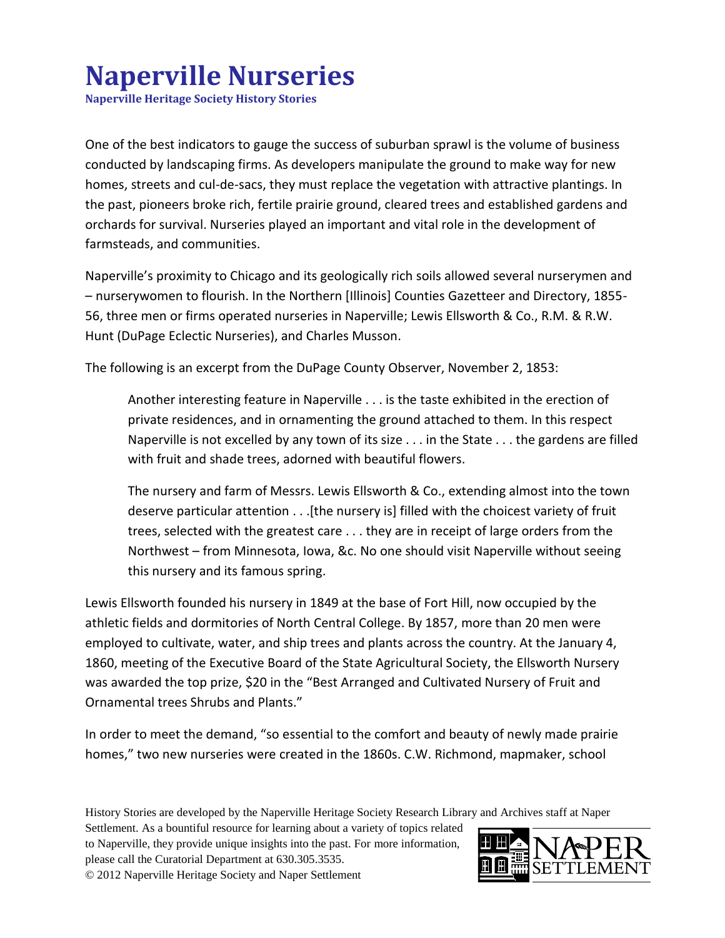## **Naperville Nurseries**

**Naperville Heritage Society History Stories**

One of the best indicators to gauge the success of suburban sprawl is the volume of business conducted by landscaping firms. As developers manipulate the ground to make way for new homes, streets and cul-de-sacs, they must replace the vegetation with attractive plantings. In the past, pioneers broke rich, fertile prairie ground, cleared trees and established gardens and orchards for survival. Nurseries played an important and vital role in the development of farmsteads, and communities.

Naperville's proximity to Chicago and its geologically rich soils allowed several nurserymen and – nurserywomen to flourish. In the Northern [Illinois] Counties Gazetteer and Directory, 1855- 56, three men or firms operated nurseries in Naperville; Lewis Ellsworth & Co., R.M. & R.W. Hunt (DuPage Eclectic Nurseries), and Charles Musson.

The following is an excerpt from the DuPage County Observer, November 2, 1853:

Another interesting feature in Naperville . . . is the taste exhibited in the erection of private residences, and in ornamenting the ground attached to them. In this respect Naperville is not excelled by any town of its size . . . in the State . . . the gardens are filled with fruit and shade trees, adorned with beautiful flowers.

The nursery and farm of Messrs. Lewis Ellsworth & Co., extending almost into the town deserve particular attention . . .[the nursery is] filled with the choicest variety of fruit trees, selected with the greatest care . . . they are in receipt of large orders from the Northwest – from Minnesota, Iowa, &c. No one should visit Naperville without seeing this nursery and its famous spring.

Lewis Ellsworth founded his nursery in 1849 at the base of Fort Hill, now occupied by the athletic fields and dormitories of North Central College. By 1857, more than 20 men were employed to cultivate, water, and ship trees and plants across the country. At the January 4, 1860, meeting of the Executive Board of the State Agricultural Society, the Ellsworth Nursery was awarded the top prize, \$20 in the "Best Arranged and Cultivated Nursery of Fruit and Ornamental trees Shrubs and Plants."

In order to meet the demand, "so essential to the comfort and beauty of newly made prairie homes," two new nurseries were created in the 1860s. C.W. Richmond, mapmaker, school

History Stories are developed by the Naperville Heritage Society Research Library and Archives staff at Naper

Settlement. As a bountiful resource for learning about a variety of topics related to Naperville, they provide unique insights into the past. For more information, please call the Curatorial Department at 630.305.3535. © 2012 Naperville Heritage Society and Naper Settlement